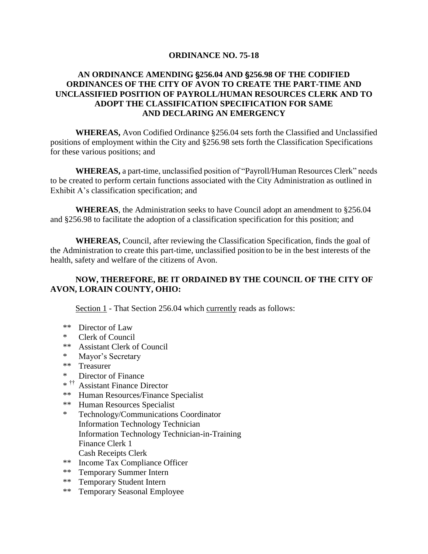### **ORDINANCE NO. 75-18**

## **AN ORDINANCE AMENDING** '**256.04 AND** '**256.98 OF THE CODIFIED ORDINANCES OF THE CITY OF AVON TO CREATE THE PART-TIME AND UNCLASSIFIED POSITION OF PAYROLL/HUMAN RESOURCES CLERK AND TO ADOPT THE CLASSIFICATION SPECIFICATION FOR SAME AND DECLARING AN EMERGENCY**

**WHEREAS,** Avon Codified Ordinance §256.04 sets forth the Classified and Unclassified positions of employment within the City and §256.98 sets forth the Classification Specifications for these various positions; and

**WHEREAS,** a part-time, unclassified position of "Payroll/Human Resources Clerk" needs to be created to perform certain functions associated with the City Administration as outlined in Exhibit A's classification specification; and

**WHEREAS**, the Administration seeks to have Council adopt an amendment to §256.04 and §256.98 to facilitate the adoption of a classification specification for this position; and

**WHEREAS,** Council, after reviewing the Classification Specification, finds the goal of the Administration to create this part-time, unclassified position to be in the best interests of the health, safety and welfare of the citizens of Avon.

# **NOW, THEREFORE, BE IT ORDAINED BY THE COUNCIL OF THE CITY OF AVON, LORAIN COUNTY, OHIO:**

Section 1 - That Section 256.04 which currently reads as follows:

- \*\* Director of Law
- \* Clerk of Council
- \*\* Assistant Clerk of Council
- \* Mayor's Secretary
- \*\* Treasurer
- \* Director of Finance
- \* †† Assistant Finance Director
- \*\* Human Resources/Finance Specialist
- \*\* Human Resources Specialist
- \* Technology/Communications Coordinator Information Technology Technician Information Technology Technician-in-Training Finance Clerk 1 Cash Receipts Clerk
- \*\* Income Tax Compliance Officer
- \*\* Temporary Summer Intern
- \*\* Temporary Student Intern
- \*\* Temporary Seasonal Employee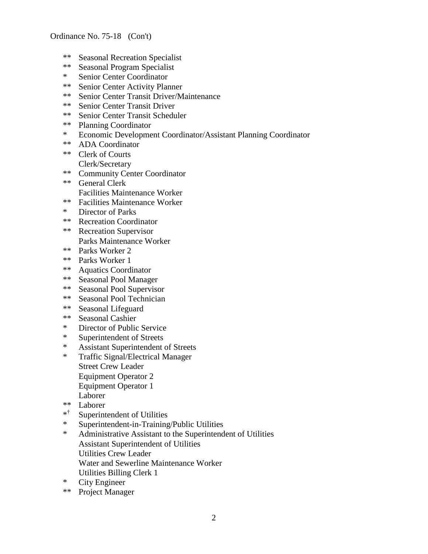- \*\* Seasonal Recreation Specialist
- \*\* Seasonal Program Specialist
- \* Senior Center Coordinator<br>\*\* Senior Center Activity Plan
- Senior Center Activity Planner
- \*\* Senior Center Transit Driver/Maintenance
- \*\* Senior Center Transit Driver
- \*\* Senior Center Transit Scheduler
- \*\* Planning Coordinator
- \* Economic Development Coordinator/Assistant Planning Coordinator
- \*\* ADA Coordinator
- \*\* Clerk of Courts Clerk/Secretary
- \*\* Community Center Coordinator
- \*\* General Clerk Facilities Maintenance Worker
- \*\* Facilities Maintenance Worker
- \* Director of Parks
- \*\* Recreation Coordinator
- \*\* Recreation Supervisor Parks Maintenance Worker
- \*\* Parks Worker 2
- 
- \*\* Parks Worker 1
- \*\* Aquatics Coordinator
- \*\* Seasonal Pool Manager
- \*\* Seasonal Pool Supervisor
- \*\* Seasonal Pool Technician
- \*\* Seasonal Lifeguard
- \*\* Seasonal Cashier
- \* Director of Public Service
- \* Superintendent of Streets
- \* Assistant Superintendent of Streets
- \* Traffic Signal/Electrical Manager Street Crew Leader Equipment Operator 2 Equipment Operator 1 Laborer
- \*\* Laborer
- \* † Superintendent of Utilities
- \* Superintendent-in-Training/Public Utilities
- \* Administrative Assistant to the Superintendent of Utilities Assistant Superintendent of Utilities Utilities Crew Leader Water and Sewerline Maintenance Worker Utilities Billing Clerk 1
- \* City Engineer
- \*\* Project Manager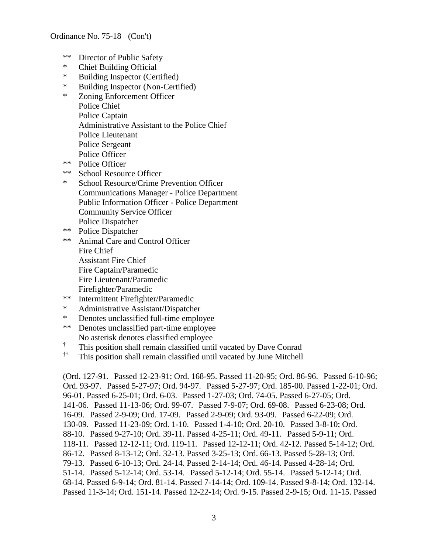- \*\* Director of Public Safety
- \* Chief Building Official
- \* Building Inspector (Certified)
- \* Building Inspector (Non-Certified)
- \* Zoning Enforcement Officer Police Chief Police Captain Administrative Assistant to the Police Chief Police Lieutenant Police Sergeant Police Officer
- \*\* Police Officer
- \*\* School Resource Officer
- \* School Resource/Crime Prevention Officer Communications Manager - Police Department Public Information Officer - Police Department Community Service Officer Police Dispatcher
- \*\* Police Dispatcher
- \*\* Animal Care and Control Officer Fire Chief Assistant Fire Chief Fire Captain/Paramedic Fire Lieutenant/Paramedic Firefighter/Paramedic
- \*\* Intermittent Firefighter/Paramedic
- \* Administrative Assistant/Dispatcher
- \* Denotes unclassified full-time employee
- \*\* Denotes unclassified part-time employee No asterisk denotes classified employee
- † This position shall remain classified until vacated by Dave Conrad
- †† This position shall remain classified until vacated by June Mitchell

(Ord. 127-91. Passed 12-23-91; Ord. 168-95. Passed 11-20-95; Ord. 86-96. Passed 6-10-96; Ord. 93-97. Passed 5-27-97; Ord. 94-97. Passed 5-27-97; Ord. 185-00. Passed 1-22-01; Ord. 96-01. Passed 6-25-01; Ord. 6-03. Passed 1-27-03; Ord. 74-05. Passed 6-27-05; Ord. 141-06. Passed 11-13-06; Ord. 99-07. Passed 7-9-07; Ord. 69-08. Passed 6-23-08; Ord. 16-09. Passed 2-9-09; Ord. 17-09. Passed 2-9-09; Ord. 93-09. Passed 6-22-09; Ord. 130-09. Passed 11-23-09; Ord. 1-10. Passed 1-4-10; Ord. 20-10. Passed 3-8-10; Ord. 88-10. Passed 9-27-10; Ord. 39-11. Passed 4-25-11; Ord. 49-11. Passed 5-9-11; Ord. 118-11. Passed 12-12-11; Ord. 119-11. Passed 12-12-11; Ord. 42-12. Passed 5-14-12; Ord. 86-12. Passed 8-13-12; Ord. 32-13. Passed 3-25-13; Ord. 66-13. Passed 5-28-13; Ord. 79-13. Passed 6-10-13; Ord. 24-14. Passed 2-14-14; Ord. 46-14. Passed 4-28-14; Ord. 51-14. Passed 5-12-14; Ord. 53-14. Passed 5-12-14; Ord. 55-14. Passed 5-12-14; Ord. 68-14. Passed 6-9-14; Ord. 81-14. Passed 7-14-14; Ord. 109-14. Passed 9-8-14; Ord. 132-14. Passed 11-3-14; Ord. 151-14. Passed 12-22-14; Ord. 9-15. Passed 2-9-15; Ord. 11-15. Passed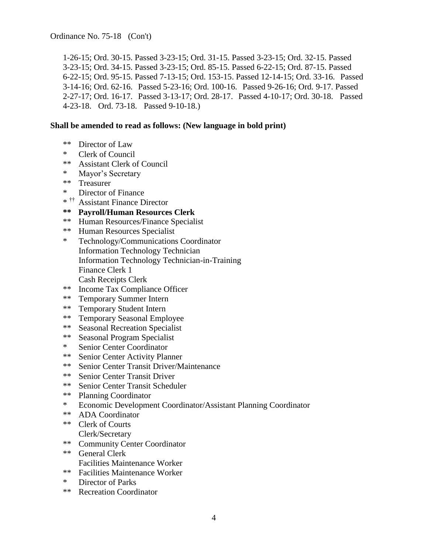Ordinance No. 75-18 (Con't)

1-26-15; Ord. 30-15. Passed 3-23-15; Ord. 31-15. Passed 3-23-15; Ord. 32-15. Passed 3-23-15; Ord. 34-15. Passed 3-23-15; Ord. 85-15. Passed 6-22-15; Ord. 87-15. Passed 6-22-15; Ord. 95-15. Passed 7-13-15; Ord. 153-15. Passed 12-14-15; Ord. 33-16. Passed 3-14-16; Ord. 62-16. Passed 5-23-16; Ord. 100-16. Passed 9-26-16; Ord. 9-17. Passed 2-27-17; Ord. 16-17. Passed 3-13-17; Ord. 28-17. Passed 4-10-17; Ord. 30-18. Passed 4-23-18. Ord. 73-18. Passed 9-10-18.)

### **Shall be amended to read as follows: (New language in bold print)**

- \*\* Director of Law
- \* Clerk of Council
- \*\* Assistant Clerk of Council
- \* Mayor's Secretary
- \*\* Treasurer
- \* Director of Finance
- \* †† Assistant Finance Director
- **\*\* Payroll/Human Resources Clerk**
- \*\* Human Resources/Finance Specialist
- \*\* Human Resources Specialist
- \* Technology/Communications Coordinator Information Technology Technician Information Technology Technician-in-Training Finance Clerk 1 Cash Receipts Clerk
- \*\* Income Tax Compliance Officer
- \*\* Temporary Summer Intern
- \*\* Temporary Student Intern
- \*\* Temporary Seasonal Employee
- \*\* Seasonal Recreation Specialist
- \*\* Seasonal Program Specialist
- \* Senior Center Coordinator
- \*\* Senior Center Activity Planner
- \*\* Senior Center Transit Driver/Maintenance
- \*\* Senior Center Transit Driver
- \*\* Senior Center Transit Scheduler
- \*\* Planning Coordinator
- \* Economic Development Coordinator/Assistant Planning Coordinator
- \*\* ADA Coordinator
- \*\* Clerk of Courts Clerk/Secretary
- \*\* Community Center Coordinator
- \*\* General Clerk Facilities Maintenance Worker
- \*\* Facilities Maintenance Worker
- \* Director of Parks
- \*\* Recreation Coordinator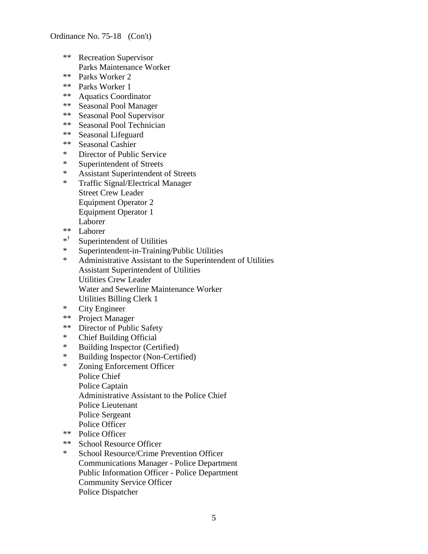### Ordinance No. 75-18 (Con't)

- \*\* Recreation Supervisor Parks Maintenance Worker
- \*\* Parks Worker 2<br>\*\* Parks Worker 1
- Parks Worker 1
- \*\* Aquatics Coordinator
- \*\* Seasonal Pool Manager
- \*\* Seasonal Pool Supervisor
- \*\* Seasonal Pool Technician
- \*\* Seasonal Lifeguard
- \*\* Seasonal Cashier
- \* Director of Public Service
- \* Superintendent of Streets
- \* Assistant Superintendent of Streets<br>\* Traffic Signal/Electrical Manager
- Traffic Signal/Electrical Manager Street Crew Leader Equipment Operator 2 Equipment Operator 1 Laborer
- \*\* Laborer
- \* † Superintendent of Utilities
- \* Superintendent-in-Training/Public Utilities
- Administrative Assistant to the Superintendent of Utilities Assistant Superintendent of Utilities Utilities Crew Leader Water and Sewerline Maintenance Worker Utilities Billing Clerk 1
- \* City Engineer
- \*\* Project Manager
- \*\* Director of Public Safety
- \* Chief Building Official
- \* Building Inspector (Certified)
- \* Building Inspector (Non-Certified)
- \* Zoning Enforcement Officer
	- Police Chief Police Captain Administrative Assistant to the Police Chief Police Lieutenant Police Sergeant Police Officer
- \*\* Police Officer
- \*\* School Resource Officer
- \* School Resource/Crime Prevention Officer Communications Manager - Police Department Public Information Officer - Police Department Community Service Officer Police Dispatcher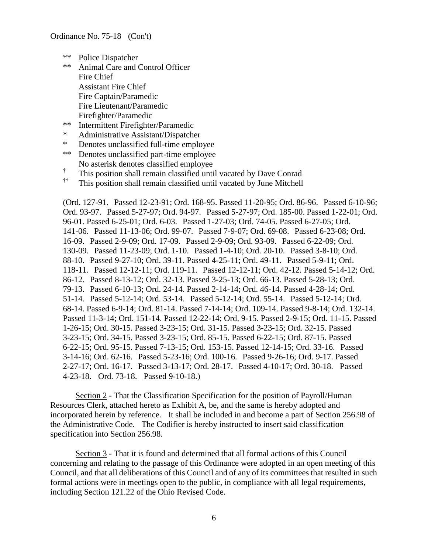- \*\* Police Dispatcher
- \*\* Animal Care and Control Officer Fire Chief Assistant Fire Chief Fire Captain/Paramedic Fire Lieutenant/Paramedic Firefighter/Paramedic
- \*\* Intermittent Firefighter/Paramedic
- \* Administrative Assistant/Dispatcher
- \* Denotes unclassified full-time employee
- \*\* Denotes unclassified part-time employee No asterisk denotes classified employee
- † This position shall remain classified until vacated by Dave Conrad
- †† This position shall remain classified until vacated by June Mitchell

(Ord. 127-91. Passed 12-23-91; Ord. 168-95. Passed 11-20-95; Ord. 86-96. Passed 6-10-96; Ord. 93-97. Passed 5-27-97; Ord. 94-97. Passed 5-27-97; Ord. 185-00. Passed 1-22-01; Ord. 96-01. Passed 6-25-01; Ord. 6-03. Passed 1-27-03; Ord. 74-05. Passed 6-27-05; Ord. 141-06. Passed 11-13-06; Ord. 99-07. Passed 7-9-07; Ord. 69-08. Passed 6-23-08; Ord. 16-09. Passed 2-9-09; Ord. 17-09. Passed 2-9-09; Ord. 93-09. Passed 6-22-09; Ord. 130-09. Passed 11-23-09; Ord. 1-10. Passed 1-4-10; Ord. 20-10. Passed 3-8-10; Ord. 88-10. Passed 9-27-10; Ord. 39-11. Passed 4-25-11; Ord. 49-11. Passed 5-9-11; Ord. 118-11. Passed 12-12-11; Ord. 119-11. Passed 12-12-11; Ord. 42-12. Passed 5-14-12; Ord. 86-12. Passed 8-13-12; Ord. 32-13. Passed 3-25-13; Ord. 66-13. Passed 5-28-13; Ord. 79-13. Passed 6-10-13; Ord. 24-14. Passed 2-14-14; Ord. 46-14. Passed 4-28-14; Ord. 51-14. Passed 5-12-14; Ord. 53-14. Passed 5-12-14; Ord. 55-14. Passed 5-12-14; Ord. 68-14. Passed 6-9-14; Ord. 81-14. Passed 7-14-14; Ord. 109-14. Passed 9-8-14; Ord. 132-14. Passed 11-3-14; Ord. 151-14. Passed 12-22-14; Ord. 9-15. Passed 2-9-15; Ord. 11-15. Passed 1-26-15; Ord. 30-15. Passed 3-23-15; Ord. 31-15. Passed 3-23-15; Ord. 32-15. Passed 3-23-15; Ord. 34-15. Passed 3-23-15; Ord. 85-15. Passed 6-22-15; Ord. 87-15. Passed 6-22-15; Ord. 95-15. Passed 7-13-15; Ord. 153-15. Passed 12-14-15; Ord. 33-16. Passed 3-14-16; Ord. 62-16. Passed 5-23-16; Ord. 100-16. Passed 9-26-16; Ord. 9-17. Passed 2-27-17; Ord. 16-17. Passed 3-13-17; Ord. 28-17. Passed 4-10-17; Ord. 30-18. Passed 4-23-18. Ord. 73-18. Passed 9-10-18.)

Section 2 - That the Classification Specification for the position of Payroll/Human Resources Clerk, attached hereto as Exhibit A, be, and the same is hereby adopted and incorporated herein by reference. It shall be included in and become a part of Section 256.98 of the Administrative Code. The Codifier is hereby instructed to insert said classification specification into Section 256.98.

Section 3 - That it is found and determined that all formal actions of this Council concerning and relating to the passage of this Ordinance were adopted in an open meeting of this Council, and that all deliberations of this Council and of any of its committees that resulted in such formal actions were in meetings open to the public, in compliance with all legal requirements, including Section 121.22 of the Ohio Revised Code.